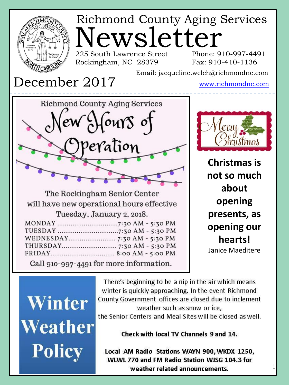

Winter Weather **Policy** 

There's beginning to be a nip in the air which means winter is quickly approaching. In the event Richmond County Government offices are closed due to inclement weather such as snow or ice.

the Senior Centers and Meal Sites will be closed as well.

Check with local TV Channels 9 and 14.

Local AM Radio Stations WAYN 900, WKDX 1250, WLWL 770 and FM Radio Station WJSG 104.3 for weather related announcements.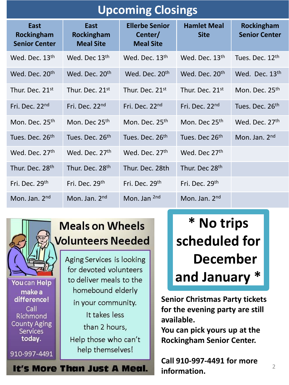| <b>Upcoming Closings</b>                   |                                        |                                                      |                                   |                                    |  |
|--------------------------------------------|----------------------------------------|------------------------------------------------------|-----------------------------------|------------------------------------|--|
| East<br>Rockingham<br><b>Senior Center</b> | East<br>Rockingham<br><b>Meal Site</b> | <b>Ellerbe Senior</b><br>Center/<br><b>Meal Site</b> | <b>Hamlet Meal</b><br><b>Site</b> | Rockingham<br><b>Senior Center</b> |  |
| Wed. Dec. 13 <sup>th</sup>                 | Wed. Dec 13th                          | Wed. Dec. 13th                                       | Wed. Dec. 13th                    | Tues. Dec. 12 <sup>th</sup>        |  |
| Wed. Dec. 20 <sup>th</sup>                 | Wed. Dec. 20 <sup>th</sup>             | Wed. Dec. 20 <sup>th</sup>                           | Wed. Dec. 20 <sup>th</sup>        | Wed. Dec. 13th                     |  |
| Thur. Dec. 21st                            | Thur. Dec. 21st                        | Thur. Dec. 21st                                      | Thur. Dec. 21st                   | Mon. Dec. 25 <sup>th</sup>         |  |
| Fri. Dec. 22 <sup>nd</sup>                 | Fri. Dec. 22 <sup>nd</sup>             | Fri. Dec. 22 <sup>nd</sup>                           | Fri. Dec. 22 <sup>nd</sup>        | Tues. Dec. 26th                    |  |
| Mon. Dec. 25 <sup>th</sup>                 | Mon. Dec 25th                          | Mon. Dec. 25 <sup>th</sup>                           | Mon. Dec 25 <sup>th</sup>         | Wed. Dec. 27th                     |  |
| Tues. Dec. 26th                            | Tues. Dec. 26 <sup>th</sup>            | Tues. Dec. 26 <sup>th</sup>                          | Tues. Dec 26 <sup>th</sup>        | Mon. Jan. 2nd                      |  |
| Wed. Dec. 27th                             | Wed. Dec. 27th                         | Wed. Dec. 27th                                       | Wed. Dec 27th                     |                                    |  |
| Thur. Dec. 28th                            | Thur. Dec. 28 <sup>th</sup>            | Thur. Dec. 28th                                      | Thur. Dec 28th                    |                                    |  |
| Fri. Dec. 29th                             | Fri. Dec. 29 <sup>th</sup>             | Fri. Dec. 29 <sup>th</sup>                           | Fri. Dec. 29th                    |                                    |  |
| Mon. Jan. 2 <sup>nd</sup>                  | Mon. Jan. $2nd$                        | Mon. Jan 2nd                                         | Mon. Jan. 2 <sup>nd</sup>         |                                    |  |



You can Help make a difference! Call Richmond **County Aging** Services today.

910-997-4491

## **Meals on Wheels Volunteers Needed**

Aging Services is looking for devoted volunteers to deliver meals to the homebound elderly in your community. It takes less than 2 hours, Help those who can't help themselves!

It's More Than Just A Meal.

**\* No trips scheduled for December and January \***

**Senior Christmas Party tickets for the evening party are still available.** 

**You can pick yours up at the Rockingham Senior Center.** 

**Call 910-997-4491 for more information.**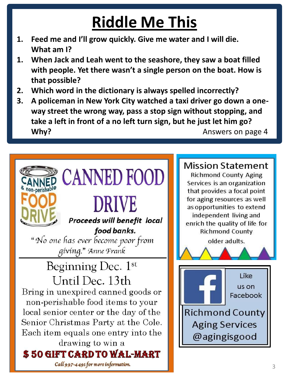## **Riddle Me This**

- **1. Feed me and I'll grow quickly. Give me water and I will die. What am I?**
- **1. When Jack and Leah went to the seashore, they saw a boat filled with people. Yet there wasn't a single person on the boat. How is that possible?**
- **2. Which word in the dictionary is always spelled incorrectly?**
- **3. A policeman in New York City watched a taxi driver go down a oneway street the wrong way, pass a stop sign without stopping, and take a left in front of a no left turn sign, but he just let him go? Why?** Answers on page 4



**Mission Statement** 

**Richmond County Aging** Services is an organization that provides a focal point for aging resources as well as opportunities to extend independent living and enrich the quality of life for **Richmond County** 

older adults.

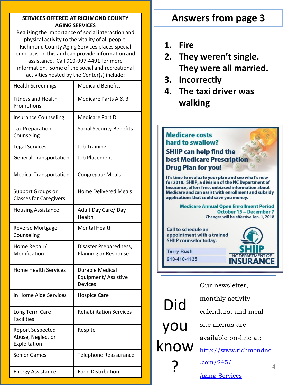#### **SERVICES OFFERED AT RICHMOND COUNTY AGING SERVICES**

Realizing the importance of social interaction and physical activity to the vitality of all people, Richmond County Aging Services places special emphasis on this and can provide information and assistance. Call 910-997-4491 for more information. Some of the social and recreational activities hosted by the Center(s) include:

| <b>Health Screenings</b>                                     | <b>Medicaid Benefits</b>                                 |
|--------------------------------------------------------------|----------------------------------------------------------|
| <b>Fitness and Health</b><br>Promotions                      | Medicare Parts A & B                                     |
| <b>Insurance Counseling</b>                                  | Medicare Part D                                          |
| <b>Tax Preparation</b><br>Counseling                         | <b>Social Security Benefits</b>                          |
| <b>Legal Services</b>                                        | <b>Job Training</b>                                      |
| <b>General Transportation</b>                                | <b>Job Placement</b>                                     |
| <b>Medical Transportation</b>                                | <b>Congregate Meals</b>                                  |
| <b>Support Groups or</b><br><b>Classes for Caregivers</b>    | <b>Home Delivered Meals</b>                              |
| <b>Housing Assistance</b>                                    | Adult Day Care/Day<br>Health                             |
| <b>Reverse Mortgage</b><br>Counseling                        | <b>Mental Health</b>                                     |
| Home Repair/<br>Modification                                 | Disaster Preparedness,<br>Planning or Response           |
| <b>Home Health Services</b>                                  | Durable Medical<br>Equipment/Assistive<br><b>Devices</b> |
| In Home Aide Services                                        | <b>Hospice Care</b>                                      |
| Long Term Care<br><b>Facilities</b>                          | <b>Rehabilitation Services</b>                           |
| <b>Report Suspected</b><br>Abuse, Neglect or<br>Exploitation | Respite                                                  |
| <b>Senior Games</b>                                          | Telephone Reassurance                                    |
| <b>Energy Assistance</b>                                     | <b>Food Distribution</b>                                 |

### **Answers from page 3**

- **1. Fire**
- **2. They weren't single. They were all married.**
- **3. Incorrectly**
- **4. The taxi driver was walking**

#### **Medicare costs** hard to swallow?

**SHIIP can help find the best Medicare Prescription Drug Plan for you!** 

It's time to evaluate your plan and see what's new for 2018. SHIIP, a division of the NC Department of Insurance, offers free, unbiased information about Medicare and can assist with enrollment and subsidy applications that could save you money.

> **Medicare Annual Open Enrollment Period** October 15 - December 7 Changes will be effective Jan. 1, 2018



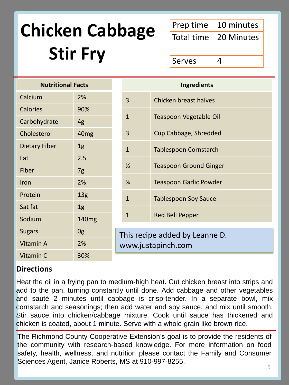## **Chicken Cabbage Stir Fry**

|        | Prep time 10 minutes    |
|--------|-------------------------|
|        | Total time   20 Minutes |
| Serves |                         |

| <b>Nutritional Facts</b> |                   |               |  |
|--------------------------|-------------------|---------------|--|
| Calcium                  | 2%                | 3             |  |
| <b>Calories</b>          | 90%               |               |  |
| Carbohydrate             | 4g                | $\mathbf{1}$  |  |
| Cholesterol              | 40 <sub>mg</sub>  | 3             |  |
| <b>Dietary Fiber</b>     | 1 <sub>g</sub>    | $\mathbf{1}$  |  |
| Fat                      | 2.5               |               |  |
| Fiber                    | 7g                | $\frac{1}{2}$ |  |
| Iron                     | 2%                | $\frac{1}{4}$ |  |
| Protein                  | 13 <sub>g</sub>   | $\mathbf{1}$  |  |
| Sat fat                  | 1 <sub>g</sub>    |               |  |
| Sodium                   | 140 <sub>mg</sub> | $\mathbf{1}$  |  |
| <b>Sugars</b>            | 0g                | This re       |  |
| Vitamin A                | 2%                | WWW.          |  |
| Vitamin C                | 30%               |               |  |

| <b>Ingredients</b>                                   |                               |  |
|------------------------------------------------------|-------------------------------|--|
| 3                                                    | Chicken breast halves         |  |
| 1                                                    | Teaspoon Vegetable Oil        |  |
| 3                                                    | Cup Cabbage, Shredded         |  |
| 1                                                    | Tablespoon Cornstarch         |  |
| ⅓                                                    | <b>Teaspoon Ground Ginger</b> |  |
| $\frac{1}{4}$                                        | <b>Teaspoon Garlic Powder</b> |  |
| $\mathbf{1}$                                         | <b>Tablespoon Soy Sauce</b>   |  |
| $\mathbf{1}$                                         | <b>Red Bell Pepper</b>        |  |
| This recipe added by Leanne D.<br>www.justapinch.com |                               |  |

#### **Directions**

Heat the oil in a frying pan to medium-high heat. Cut chicken breast into strips and add to the pan, turning constantly until done. Add cabbage and other vegetables and sauté 2 minutes until cabbage is crisp-tender. In a separate bowl, mix cornstarch and seasonings; then add water and soy sauce, and mix until smooth. Stir sauce into chicken/cabbage mixture. Cook until sauce has thickened and chicken is coated, about 1 minute. Serve with a whole grain like brown rice.

The Richmond County Cooperative Extension's goal is to provide the residents of the community with research-based knowledge. For more information on food safety, health, wellness, and nutrition please contact the Family and Consumer Sciences Agent, Janice Roberts, MS at 910-997-8255.